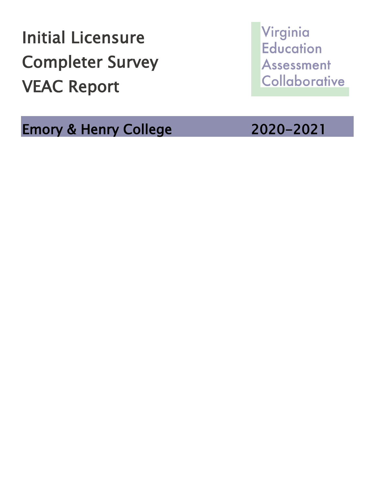Initial Licensure Completer Survey VEAC Report

Emory & Henry College 2020-2021

Virginia **Education** Assessment Collaborative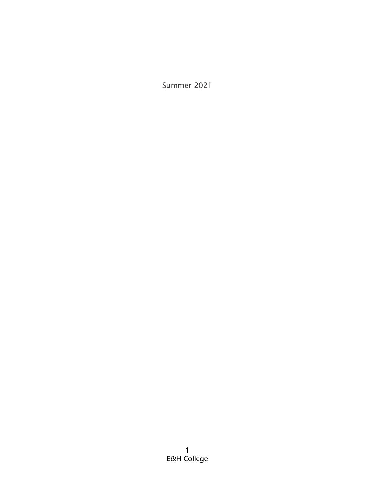Summer 2021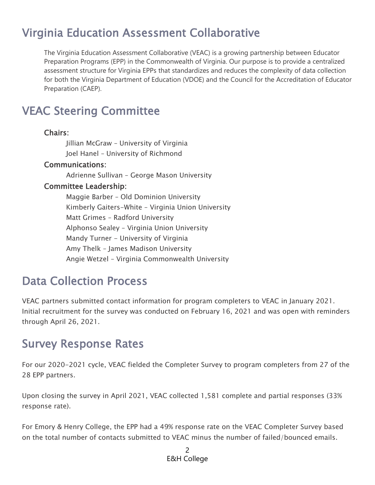## Virginia Education Assessment Collaborative

The Virginia Education Assessment Collaborative (VEAC) is a growing partnership between Educator Preparation Programs (EPP) in the Commonwealth of Virginia. Our purpose is to provide a centralized assessment structure for Virginia EPPs that standardizes and reduces the complexity of data collection for both the Virginia Department of Education (VDOE) and the Council for the Accreditation of Educator Preparation (CAEP).

### VEAC Steering Committee

#### Chairs:

Jillian McGraw – University of Virginia Joel Hanel – University of Richmond

#### Communications:

Adrienne Sullivan – George Mason University

#### Committee Leadership:

Maggie Barber – Old Dominion University Kimberly Gaiters-White – Virginia Union University Matt Grimes – Radford University Alphonso Sealey – Virginia Union University Mandy Turner - University of Virginia Amy Thelk – James Madison University Angie Wetzel – Virginia Commonwealth University

### Data Collection Process

VEAC partners submitted contact information for program completers to VEAC in January 2021. Initial recruitment for the survey was conducted on February 16, 2021 and was open with reminders through April 26, 2021.

### Survey Response Rates

For our 2020-2021 cycle, VEAC fielded the Completer Survey to program completers from 27 of the 28 EPP partners.

Upon closing the survey in April 2021, VEAC collected 1,581 complete and partial responses (33% response rate).

For Emory & Henry College, the EPP had a 49% response rate on the VEAC Completer Survey based on the total number of contacts submitted to VEAC minus the number of failed/bounced emails.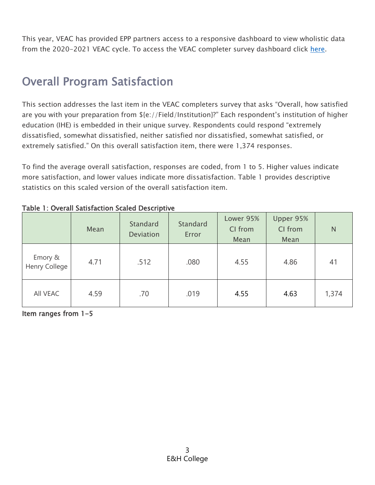This year, VEAC has provided EPP partners access to a responsive dashboard to view wholistic data from the 2020-2021 VEAC cycle. To access the VEAC completer survey dashboard click [here.](https://projectveac.org/documentationnew)

### Overall Program Satisfaction

This section addresses the last item in the VEAC completers survey that asks "Overall, how satisfied are you with your preparation from \${e://Field/Institution}?" Each respondent's institution of higher education (IHE) is embedded in their unique survey. Respondents could respond "extremely dissatisfied, somewhat dissatisfied, neither satisfied nor dissatisfied, somewhat satisfied, or extremely satisfied." On this overall satisfaction item, there were 1,374 responses.

To find the average overall satisfaction, responses are coded, from 1 to 5. Higher values indicate more satisfaction, and lower values indicate more dissatisfaction. Table 1 provides descriptive statistics on this scaled version of the overall satisfaction item.

|                          | Mean | Standard<br><b>Deviation</b> | Standard<br>Error | Lower 95%<br>CI from<br>Mean | Upper 95%<br>CI from<br>Mean | N     |
|--------------------------|------|------------------------------|-------------------|------------------------------|------------------------------|-------|
| Emory &<br>Henry College | 4.71 | .512                         | .080              | 4.55                         | 4.86                         | 41    |
| All VEAC                 | 4.59 | .70                          | .019              | 4.55                         | 4.63                         | 1,374 |

#### Table 1: Overall Satisfaction Scaled Descriptive

Item ranges from 1-5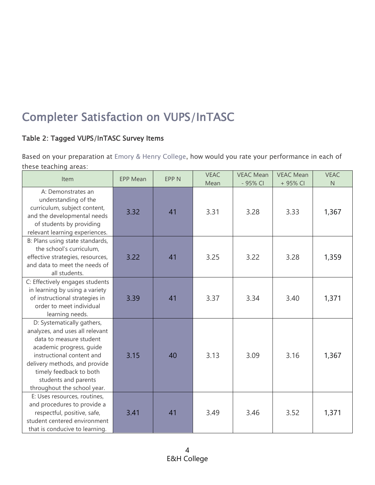# Completer Satisfaction on VUPS/InTASC

### Table 2: Tagged VUPS/InTASC Survey Items

Based on your preparation at Emory & Henry College, how would you rate your performance in each of these teaching areas:

| Item                                                                                                                                                                                                                                                                 | <b>EPP Mean</b> | <b>EPP N</b> | <b>VEAC</b><br>Mean | <b>VEAC Mean</b><br>- 95% CI | <b>VEAC Mean</b><br>+ 95% CI | <b>VEAC</b><br>$\mathsf{N}$ |
|----------------------------------------------------------------------------------------------------------------------------------------------------------------------------------------------------------------------------------------------------------------------|-----------------|--------------|---------------------|------------------------------|------------------------------|-----------------------------|
| A: Demonstrates an<br>understanding of the<br>curriculum, subject content,<br>and the developmental needs<br>of students by providing<br>relevant learning experiences.                                                                                              | 3.32            | 41           | 3.31                | 3.28                         | 3.33                         | 1,367                       |
| B: Plans using state standards,<br>the school's curriculum,<br>effective strategies, resources,<br>and data to meet the needs of<br>all students.                                                                                                                    | 3.22            | 41           | 3.25                | 3.22                         | 3.28                         | 1,359                       |
| C: Effectively engages students<br>in learning by using a variety<br>of instructional strategies in<br>order to meet individual<br>learning needs.                                                                                                                   | 3.39            | 41           | 3.37                | 3.34                         | 3.40                         | 1,371                       |
| D: Systematically gathers,<br>analyzes, and uses all relevant<br>data to measure student<br>academic progress, guide<br>instructional content and<br>delivery methods, and provide<br>timely feedback to both<br>students and parents<br>throughout the school year. | 3.15            | 40           | 3.13                | 3.09                         | 3.16                         | 1,367                       |
| E: Uses resources, routines,<br>and procedures to provide a<br>respectful, positive, safe,<br>student centered environment<br>that is conducive to learning.                                                                                                         | 3.41            | 41           | 3.49                | 3.46                         | 3.52                         | 1,371                       |